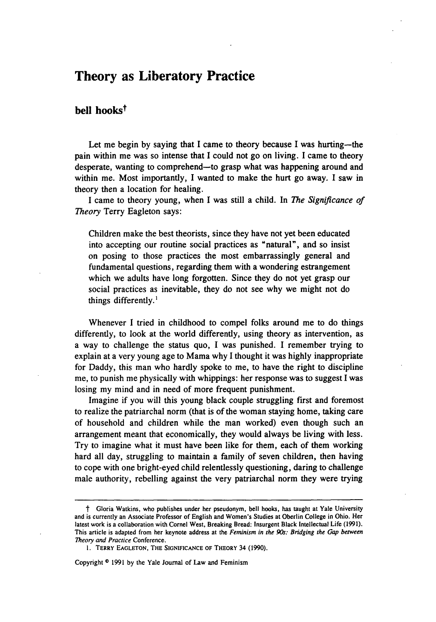## **Theory as Liberatory Practice**

## **bell hooks<sup>t</sup>**

Let me begin by saying that I came to theory because I was hurting-the pain within me was so intense that I could not go on living. I came to theory desperate, wanting to comprehend-to grasp what was happening around and within me. Most importantly, I wanted to make the hurt go away. I saw in theory then a location for healing.

I came to theory young, when I was still a child. In *The Significance of Theory* Terry Eagleton says:

Children make the best theorists, since they have not yet been educated into accepting our routine social practices as "natural", and so insist on posing to those practices the most embarrassingly general and fundamental questions, regarding them with a wondering estrangement which we adults have long forgotten. Since they do not yet grasp our social practices as inevitable, they do not see why we might not do things differently.'

Whenever I tried in childhood to compel folks around me to do things differently, to look at the world differently, using theory as intervention, as a way to challenge the status quo, I was punished. I remember trying to explain at a very young age to Mama why I thought it was highly inappropriate for Daddy, this man who hardly spoke to me, to have the right to discipline me, to punish me physically with whippings: her response was to suggest I was losing my mind and in need of more frequent punishment.

Imagine if you will this young black couple struggling first and foremost to realize the patriarchal norm (that is of the woman staying home, taking care of household and children while the man worked) even though such an arrangement meant that economically, they would always be living with less. Try to imagine what it must have been like for them, each of them working hard all day, struggling to maintain a family of seven children, then having to cope with one bright-eyed child relentlessly questioning, daring to challenge male authority, rebelling against the very patriarchal norm they were trying

t Gloria Watkins, who publishes under her pseudonym, bell hooks, has taught at Yale University and is currently an Associate Professor of English and Women's Studies at Oberlin College in Ohio. Her latest work is a collaboration with Cornel West, Breaking Bread: Insurgent Black Intellectual Life (1991). This article is adapted from her keynote address at the *Feminism in the 90s: Bridging the Gap between Theory and Practice* Conference.

**<sup>1.</sup>** TERRY **EAGLETON, THE SIGNIFICANCE OF** THEORY 34 (1990).

Copyright **0** 1991 by the Yale Journal of Law and Feminism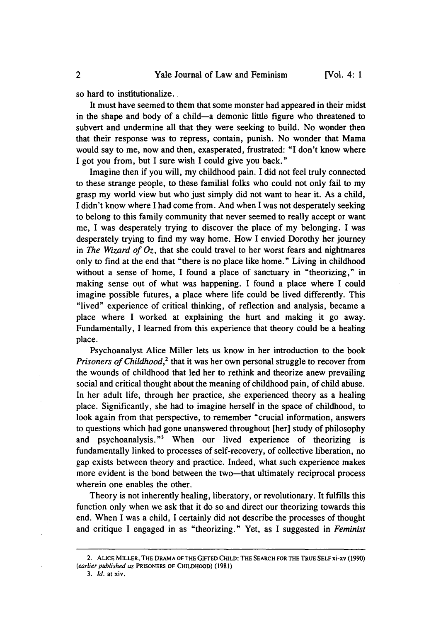so hard to institutionalize.

It must have seemed to them that some monster had appeared in their midst in the shape and body of a child-a demonic little figure who threatened to subvert and undermine all that they were seeking to build. No wonder then that their response was to repress, contain, punish. No wonder that Mama would say to me, now and then, exasperated, frustrated: "I don't know where I got you from, but I sure wish I could give you back."

Imagine then if you will, my childhood pain. I did not feel truly connected to these strange people, to these familial folks who could not only fail to my grasp my world view but who just simply did not want to hear it. As a child, I didn't know where I had come from. And when I was not desperately seeking to belong to this family community that never seemed to really accept or want me, I was desperately trying to discover the place of my belonging. I was desperately trying to find my way home. How I envied Dorothy her journey in *The Wizard of Oz,* that she could travel to her worst fears and nightmares only to find at the end that "there is no place like home." Living in childhood without a sense of home, I found a place of sanctuary in "theorizing," in making sense out of what was happening. I found a place where I could imagine possible futures, a place where life could be lived differently. This "lived" experience of critical thinking, of reflection and analysis, became a place where I worked at explaining the hurt and making it go away. Fundamentally, I learned from this experience that theory could be a healing place.

Psychoanalyst Alice Miller lets us know in her introduction to the book *Prisoners of Childhood*,<sup>2</sup> that it was her own personal struggle to recover from the wounds of childhood that led her to rethink and theorize anew prevailing social and critical thought about the meaning of childhood pain, of child abuse. In her adult life, through her practice, she experienced theory as a healing place. Significantly, she had to imagine herself in the space of childhood, to look again from that perspective, to remember "crucial information, answers to questions which had gone unanswered throughout [her] study of philosophy and psychoanalysis."<sup>3</sup> When our lived experience of theorizing is fundamentally linked to processes of self-recovery, of collective liberation, no gap exists between theory and practice. Indeed, what such experience makes more evident is the bond between the two-that ultimately reciprocal process wherein one enables the other.

Theory is not inherently healing, liberatory, or revolutionary. It fulfills this function only when we ask that it do so and direct our theorizing towards this end. When I was a child, I certainly did not describe the processes of thought and critique I engaged in as "theorizing." Yet, as I suggested in *Feminist*

<sup>2.</sup> **ALICE MILLER, THE DRAMA OF THE GIFTED CHILD: THE SEARCH FOR THE TRUE SELF xi-xv (1990)** (earlier published as PRISONERS OF CHILDHOOD) (1981)

<sup>3.</sup> **Id.** at xiv.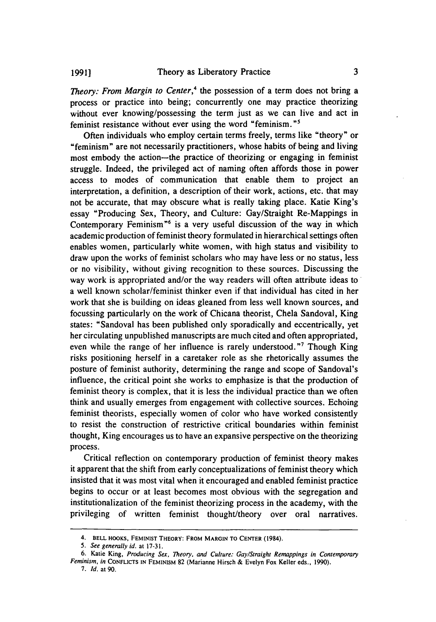*Theory: From Margin to Center*,<sup>4</sup> the possession of a term does not bring a process or practice into being; concurrently one may practice theorizing without ever knowing/possessing the term just as we can live and act in feminist resistance without ever using the word "feminism."<sup>5</sup>

Often individuals who employ certain terms freely, terms like "theory" or "feminism" are not necessarily practitioners, whose habits of being and living most embody the action-the practice of theorizing or engaging in feminist struggle. Indeed, the privileged act of naming often affords those in power access to modes of communication that enable them to project an interpretation, a definition, a description of their work, actions, etc. that may not be accurate, that may obscure what is really taking place. Katie King's essay "Producing Sex, Theory, and Culture: Gay/Straight Re-Mappings in Contemporary Feminism<sup>"6</sup> is a very useful discussion of the way in which academic production of feminist theory formulated in hierarchical settings often enables women, particularly white women, with high status and visibility to draw upon the works of feminist scholars who may have less or no status, less or no visibility, without giving recognition to these sources. Discussing the way work is appropriated and/or the way readers will often attribute ideas to a well known scholar/feminist thinker even if that individual has cited in her work that she is building on ideas gleaned from less well known sources, and focussing particularly on the work of Chicana theorist, Chela Sandoval, King states: "Sandoval has been published only sporadically and eccentrically, yet her circulating unpublished manuscripts are much cited and often appropriated, even while the range of her influence is rarely understood."' Though King risks positioning herself in a caretaker role as she rhetorically assumes the posture of feminist authority, determining the range and scope of Sandoval's influence, the critical point she works to emphasize is that the production of feminist theory is complex, that it is less the individual practice than we often think and usually emerges from engagement with collective sources. Echoing feminist theorists, especially women of color who have worked consistently to resist the construction of restrictive critical boundaries within feminist thought, King encourages us to have an expansive perspective on the theorizing process.

Critical reflection on contemporary production of feminist theory makes it apparent that the shift from early conceptualizations of feminist theory which insisted that it was most vital when it encouraged and enabled feminist practice begins to occur or at least becomes most obvious with the segregation and institutionalization of the feminist theorizing process in the academy, with the privileging of written feminist thought/theory over oral narratives.

**1991]**

<sup>4.</sup> BELL HOOKS, **FEMINIST** THEORY: FROM MARGIN TO **CENTER** (1984).

*<sup>5.</sup> See generally id.* at 17-31.

<sup>6.</sup> Katie King, *Producing Sex, Theory, and Culture: Gay/Straight Remappings in Contemporary Feminism, in* **CONFLICTS IN FEMINISM** 82 (Marianne Hirsch & Evelyn Fox Keller eds., 1990).

*<sup>7.</sup> Id.* at 90.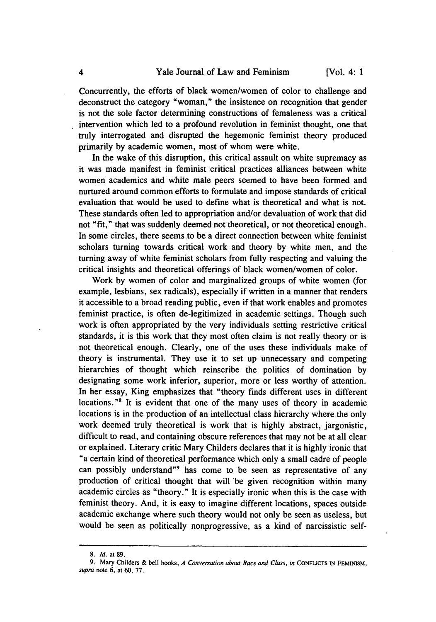Concurrently, the efforts of black women/women of color to challenge and deconstruct the category "woman," the insistence on recognition that gender is not the sole factor determining constructions of femaleness was a critical intervention which led to a profound revolution in feminist thought, one that truly interrogated and disrupted the hegemonic feminist theory produced primarily by academic women, most of whom were white.

In the wake of this disruption, this critical assault on white supremacy as it was made manifest in feminist critical practices alliances between white women academics and white male peers seemed to have been formed and nurtured around common efforts to formulate and impose standards of critical evaluation that would be used to define what is theoretical and what is not. These standards often led to appropriation and/or devaluation of work that did not "fit," that was suddenly deemed not theoretical, or not theoretical enough. In some circles, there seems to be a direct connection between white feminist scholars turning towards critical work and theory by white men, and the turning away of white feminist scholars from fully respecting and valuing the critical insights and theoretical offerings of black women/women of color.

Work by women of color and marginalized groups of white women (for example, lesbians, sex radicals), especially if written in a manner that renders it accessible to a broad reading public, even if that work enables and promotes feminist practice, is often de-legitimized in academic settings. Though such work is often appropriated by the very individuals setting restrictive critical standards, it is this work that they most often claim is not really theory or is not theoretical enough. Clearly, one of the uses these individuals make of theory is instrumental. They use it to set up unnecessary and competing hierarchies of thought which reinscribe the politics of domination by designating some work inferior, superior, more or less worthy of attention. In her essay, King emphasizes that "theory finds different uses in different locations."<sup>8</sup> It is evident that one of the many uses of theory in academic locations is in the production of an intellectual class hierarchy where the only work deemed truly theoretical is work that is highly abstract, jargonistic, difficult to read, and containing obscure references that may not be at all clear or explained. Literary critic Mary Childers declares that it is highly ironic that "a certain kind of theoretical performance which only a small cadre of people can possibly understand"<sup>9</sup> has come to be seen as representative of any production of critical thought that will be given recognition within many academic circles as "theory." It is especially ironic when this is the case with feminist theory. And, it is easy to imagine different locations, spaces outside academic exchange where such theory would not only be seen as useless, but would be seen as politically nonprogressive, as a kind of narcissistic self-

<sup>8.</sup> *Id.* at 89.

**<sup>9.</sup>** Mary Childers & bell hooks, *A* Conversation about Race and Class, in **CONFLICTS IN FEMINISM,** supra note 6, at 60, 77.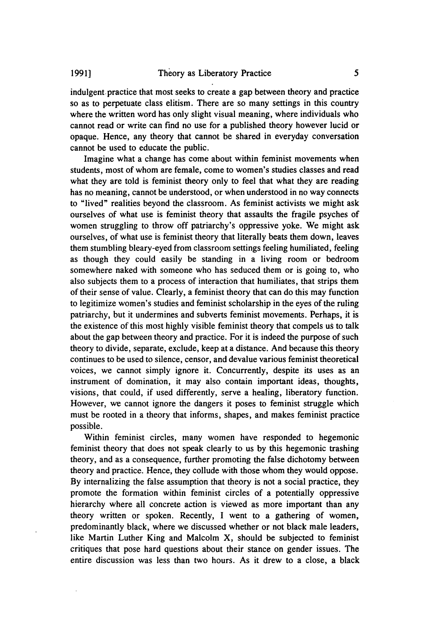**1991]**

indulgent practice that most seeks to create a gap between theory and practice so as to perpetuate class elitism. There are so many settings in this country where the written word has only slight visual meaning, where individuals who cannot read or write can find no use for a published theory however lucid or opaque. Hence, any theory that cannot be shared in everyday conversation cannot be used to educate the public.

Imagine what a change has come about within feminist movements when students, most of whom are female, come to women's studies classes and read what they are told is feminist theory only to feel that what they are reading has no meaning, cannot be understood, or when understood in no way connects to "lived" realities beyond the classroom. As feminist activists we might ask ourselves of what use is feminist theory that assaults the fragile psyches of women struggling to throw off patriarchy's oppressive yoke. We might ask ourselves, of what use is feminist theory that literally beats them down, leaves them stumbling bleary-eyed from classroom settings feeling humiliated, feeling as though they could easily be standing in a living room or bedroom somewhere naked with someone who has seduced them or is going to, who also subjects them to a process of interaction that humiliates, that strips them of their sense of value. Clearly, a feminist theory that can do this may function to legitimize women's studies and feminist scholarship in the eyes of the ruling patriarchy, but it undermines and subverts feminist movements. Perhaps, it is the existence of this most highly visible feminist theory that compels us to talk about the gap between theory and practice. For it is indeed the purpose of such theory to divide, separate, exclude, keep at a distance. And because this theory continues to be used to silence, censor, and devalue various feminist theoretical voices, we cannot simply ignore it. Concurrently, despite its uses as an instrument of domination, it may also contain important ideas, thoughts, visions, that could, if used differently, serve a healing, liberatory function. However, we cannot ignore the dangers it poses to feminist struggle which must be rooted in a theory that informs, shapes, and makes feminist practice possible.

Within feminist circles, many women have responded to hegemonic feminist theory that does not speak clearly to us by this hegemonic trashing theory, and as a consequence, further promoting the false dichotomy between theory and practice. Hence, they collude with those whom they would oppose. By internalizing the false assumption that theory is not a social practice, they promote the formation within feminist circles of a potentially oppressive hierarchy where all concrete action is viewed as more important than any theory written or spoken. Recently, I went to a gathering of women, predominantly black, where we discussed whether or not black male leaders, like Martin Luther King and Malcolm X, should be subjected to feminist critiques that pose hard questions about their stance on gender issues. The entire discussion was less than two hours. As it drew to a close, a black

 $\overline{\mathbf{S}}$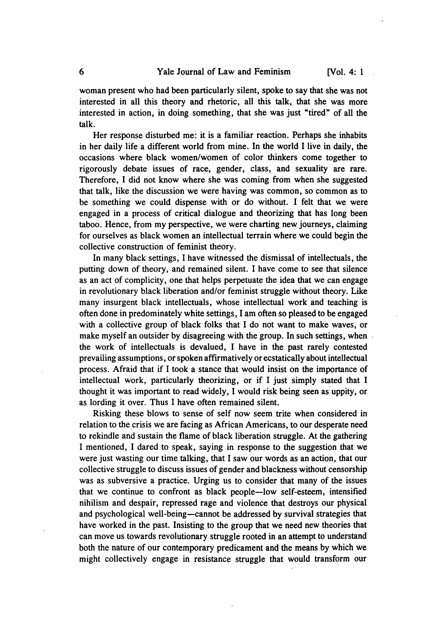woman present who had been particularly silent, spoke to say that she was not interested in all this theory and rhetoric, all this talk, that she was more interested in action, in doing something, that she was just "tired" of all the talk.

Her response disturbed me: it is a familiar reaction. Perhaps she inhabits in her daily life a different world from mine. In the world I live in daily, the occasions where black women/women of color thinkers come together to rigorously debate issues of race, gender, class, and sexuality are rare. Therefore, I did not know where she was coming from when she suggested that talk, like the discussion we were having was common, so common as to be something we could dispense with or do without. I felt that we were engaged in a process of critical dialogue and theorizing that has long been taboo. Hence, from my perspective, we were charting new journeys, claiming for ourselves as black women an intellectual terrain where we could begin the collective construction of feminist theory.

In many black settings, I have witnessed the dismissal of intellectuals, the putting down of theory, and remained silent. I have come to see that silence as an act of complicity, one that helps perpetuate the idea that we can engage in revolutionary black liberation and/or feminist struggle without theory. Like many insurgent black intellectuals, whose intellectual work and teaching is often done in predominately white settings, I am often so pleased to be engaged with a collective group of black folks that I do not want to make waves, or make myself an outsider by disagreeing with the group. In such settings, when the work of intellectuals is devalued, I have in the past rarely contested prevailing assumptions, or spoken affirmatively or ecstatically about intellectual process. Afraid that if I took a stance that would insist on the importance of intellectual work, particularly theorizing, or if I just simply stated that I thought it was important to read widely, I would risk being seen as uppity, or as lording it over. Thus I have often remained silent.

Risking these blows to sense of self now seem trite when considered in relation to the crisis we are facing as African Americans, to our desperate need to rekindle and sustain the flame of black liberation struggle. At the gathering I mentioned, I dared to speak, saying in response to the suggestion that we were just wasting our time talking, that I saw our words as an action, that our collective struggle to discuss issues of gender and blackness without censorship was as subversive a practice. Urging us to consider that many of the issues that we continue to confront as black people-low self-esteem, intensified nihilism and despair, repressed rage and violence that destroys our physical and psychological well-being-cannot be addressed by survival strategies that have worked in the past. Insisting to the group that we need new theories that can move us towards revolutionary struggle rooted in an attempt to understand both the nature of our contemporary predicament and the means by which we might collectively engage in resistance struggle that would transform our

6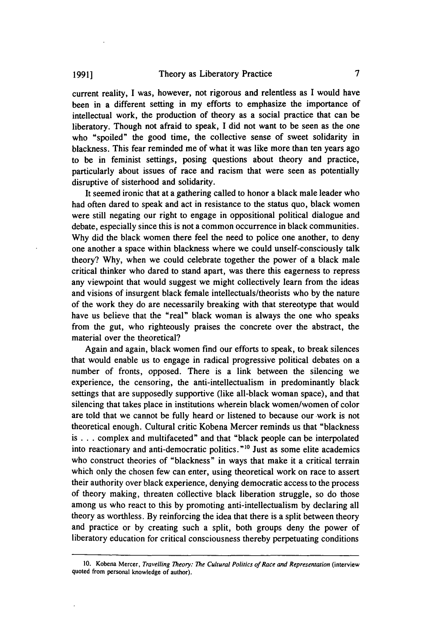**1991]**

current reality, I was, however, not rigorous and relentless as I would have been in a different setting in my efforts to emphasize the importance of intellectual work, the production of theory as a social practice that can be liberatory. Though not afraid to speak, I did not want to be seen as the one who "spoiled" the good time, the collective sense of sweet solidarity in blackness. This fear reminded me of what it was like more than ten years ago to be in feminist settings, posing questions about theory and practice, particularly about issues of race and racism that were seen as potentially disruptive of sisterhood and solidarity.

It seemed ironic that at a gathering called to honor a black male leader who had often dared to speak and act in resistance to the status quo, black women were still negating our right to engage in oppositional political dialogue and debate, especially since this is not a common occurrence in black communities. Why did the black women there feel the need to police one another, to deny one another a space within blackness where we could unself-consciously talk theory? Why, when we could celebrate together the power of a black male critical thinker who dared to stand apart, was there this eagerness to repress any viewpoint that would suggest we might collectively learn from the ideas and visions of insurgent black female intellectuals/theorists who by the nature of the work they do are necessarily breaking with that stereotype that would have us believe that the "real" black woman is always the one who speaks from the gut, who righteously praises the concrete over the abstract, the material over the theoretical?

Again and again, black women find our efforts to speak, to break silences that would enable us to engage in radical progressive political debates on a number of fronts, opposed. There is a link between the silencing we experience, the censoring, the anti-intellectualism in predominantly black settings that are supposedly supportive (like all-black woman space), and that silencing that takes place in institutions wherein black women/women of color are told that we cannot be fully heard or listened to because our work is not theoretical enough. Cultural critic Kobena Mercer reminds us that "blackness is ... complex and multifaceted" and that "black people can be interpolated into reactionary and anti-democratic politics."10 Just as some elite academics who construct theories of "blackness" in ways that make it a critical terrain which only the chosen few can enter, using theoretical work on race to assert their authority over black experience, denying democratic access to the process of theory making, threaten collective black liberation struggle, so do those among us who react to this by promoting anti-intellectualism by declaring all theory as worthless. By reinforcing the idea that there is a split between theory and practice or by creating such a split, both groups deny the power of liberatory education for critical consciousness thereby perpetuating conditions

<sup>10.</sup> Kobena Mercer, *Travelling Theory: The Cultural Politics of Race and Representation* (interview quoted from personal knowledge of author).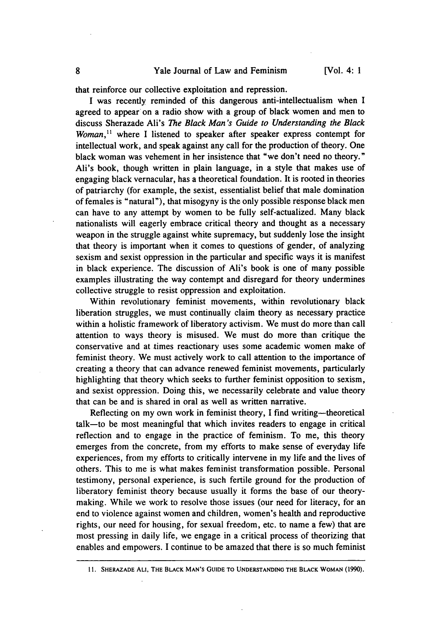## Yale Journal of Law and Feminism

that reinforce our collective exploitation and repression.

I was recently reminded of this dangerous anti-intellectualism when I agreed to appear on a radio show with a group of black women and men to discuss Sherazade Ali's *The Black Man's Guide to Understanding the Black Woman*,<sup>11</sup> where I listened to speaker after speaker express contempt for intellectual work, and speak against any call for the production of theory. One black woman was vehement in her insistence that "we don't need no theory." Ali's book, though written in plain language, in a style that makes use of engaging black vernacular, has a theoretical foundation. It is rooted in theories of patriarchy (for example, the sexist, essentialist belief that male domination of females is "natural"), that misogyny is the only possible response black men can have to any attempt by women to be fully self-actualized. Many black nationalists will eagerly embrace critical theory and thought as a necessary weapon in the struggle against white supremacy, but suddenly lose the insight that theory is important when it comes to questions of gender, of analyzing sexism and sexist oppression in the particular and specific ways it is manifest in black experience. The discussion of Ali's book is one of many possible examples illustrating the way contempt and disregard for theory undermines collective struggle to resist oppression and exploitation.

Within revolutionary feminist movements, within revolutionary black liberation struggles, we must continually claim theory as necessary practice within a holistic framework of liberatory activism. We must do more than call attention to ways theory is misused. We must do more than critique the conservative and at times reactionary uses some academic women make of feminist theory. We must actively work to call attention to the importance of creating a theory that can advance renewed feminist movements, particularly highlighting that theory which seeks to further feminist opposition to sexism, and sexist oppression. Doing this, we necessarily celebrate and value theory that can be and is shared in oral as well as written narrative.

Reflecting on my own work in feminist theory, I find writing—theoretical talk-to be most meaningful that which invites readers to engage in critical reflection and to engage in the practice of feminism. To me, this theory emerges from the concrete, from my efforts to make sense of everyday life experiences, from my efforts to critically intervene in my life and the lives of others. This to me is what makes feminist transformation possible. Personal testimony, personal experience, is such fertile ground for the production of liberatory feminist theory because usually it forms the base of our theorymaking. While we work to resolve those issues (our need for literacy, for an end to violence against women and children, women's health and reproductive rights, our need for housing, for sexual freedom, etc. to name a few) that are most pressing in daily life, we engage in a critical process of theorizing that enables and empowers. I continue to be amazed that there is so much feminist

 $\bf{8}$ 

**<sup>11.</sup> SHERAZADE ALl, THE BLACK MAN'S GUIDE TO UNDERSTANDING THE BLACK WOMAN (1990).**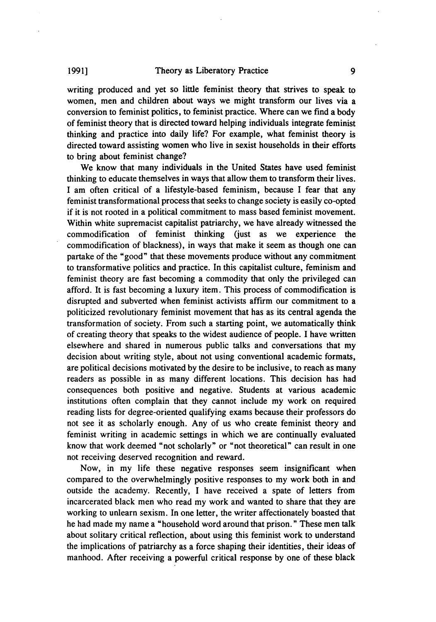**1991]**

writing produced and yet so little feminist theory that strives to speak to women, men and children about ways we might transform our lives via a conversion to feminist politics, to feminist practice. Where can we find a body of feminist theory that is directed toward helping individuals integrate feminist thinking and practice into daily life? For example, what feminist theory is directed toward assisting women who live in sexist households in their efforts to bring about feminist change?

We know that many individuals in the United States have used feminist thinking to educate themselves in ways that allow them to transform their lives. I am often critical of a lifestyle-based feminism, because I fear that any feminist transformational process that seeks to change society is easily co-opted if it is not rooted in a political commitment to mass based feminist movement. Within white supremacist capitalist patriarchy, we have already witnessed the commodification of feminist thinking **(just** as we experience the commodification of blackness), in ways that make it seem as though one can partake of the "good" that these movements produce without any commitment to transformative politics and practice. In this capitalist culture, feminism and feminist theory are fast becoming a commodity that only the privileged can afford. It is fast becoming a luxury item. This process of commodification is disrupted and subverted when feminist activists affirm our commitment to a politicized revolutionary feminist movement that has as its central agenda the transformation of society. From such a starting point, we automatically think of creating theory that speaks to the widest audience of people. I have written elsewhere and shared in numerous public talks and conversations that my decision about writing style, about not using conventional academic formats, are political decisions motivated **by** the desire to be inclusive, to reach as many readers as possible in as many different locations. This decision has had consequences both positive and negative. Students at various academic institutions often complain that they cannot include my work on required reading lists for degree-oriented qualifying exams because their professors do not see it as scholarly enough. Any of us who create feminist theory and feminist writing in academic settings in which we are continually evaluated know that work deemed "not scholarly" or "not theoretical" can result in one not receiving deserved recognition and reward.

Now, in my life these negative responses seem insignificant when compared to the overwhelmingly positive responses to my work both in and outside the academy. Recently, I have received a spate of letters from incarcerated black men who read my work and wanted to share that they are working to unlearn sexism. In one letter, the writer affectionately boasted that he had made my name a "household word around that prison." These men talk about solitary critical reflection, about using this feminist work to understand the implications of patriarchy as a force shaping their identities, their ideas of manhood. After receiving a powerful critical response by one of these black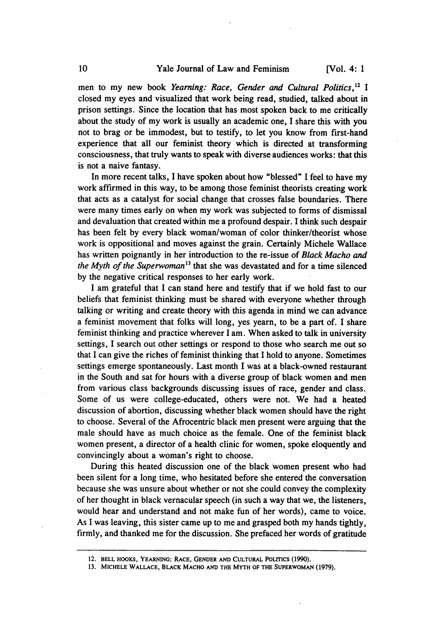men to my new book *Yearning: Race, Gender and Cultural Politics,12 I* closed my eyes and visualized that work being read, studied, talked about in prison settings. Since the location that has most spoken back to me critically about the study of my work is usually an academic one, I share this with you not to brag or be immodest, but to testify, to let you know from first-hand experience that all our feminist theory which is directed at transforming consciousness, that truly wants to speak with diverse audiences works: that this is not a naive fantasy.

In more recent talks, I have spoken about how "blessed" I feel to have my work affirmed in this way, to be among those feminist theorists creating work that acts as a catalyst for social change that crosses false boundaries. There were many times early on when my work was subjected to forms of dismissal and devaluation that created within me a profound despair. I think such despair has been felt by every black woman/woman of color thinker/theorist whose work is oppositional and moves against the grain. Certainly Michele Wallace has written poignantly in her introduction to the re-issue of *Black Macho and the Myth of the Superwoman*<sup>13</sup> that she was devastated and for a time silenced by the negative critical responses to her early work.

I am grateful that I can stand here and testify that if we hold fast to our beliefs that feminist thinking must be shared with everyone whether through talking or writing and create theory with this agenda in mind we can advance a feminist movement that folks will long, yes yearn, to be a part of. I share feminist thinking and practice wherever I am. When asked to talk in university settings, I search out other settings or respond to those who search me out so that I can give the riches of feminist thinking that I hold to anyone. Sometimes settings emerge spontaneously. Last month I was at a black-owned restaurant in the South and sat for hours with a diverse group of black women and men from various class backgrounds discussing issues of race, gender and class. Some of us were college-educated, others were not. We had a heated discussion of abortion, discussing whether black women should have the right to choose. Several of the Afrocentric black men present were arguing that the male should have as much choice as the female. One of the feminist black women present, a director of a health clinic for women, spoke eloquently and convincingly about a woman's right to choose.

During this heated discussion one of the black Women present who had been silent for a long time, who hesitated before she entered the conversation because she was unsure about whether or not she could convey the complexity of her thought in black vernacular speech (in such a way that we, the listeners, would hear and understand and not make fun of her words), came to voice. As I was leaving, this sister came up to me and grasped both my hands tightly, firmly, and thanked me for the discussion. She prefaced her words of gratitude

**<sup>12.</sup> BELL HOOKS, YEARNING: RACE, GENDER AND CULTURAL POLITICS (1990).**

**<sup>13.</sup> MICHELE WALLACE, BLACK MACHO AND THE MYTH OF THE SUPERWOMAN (1979).**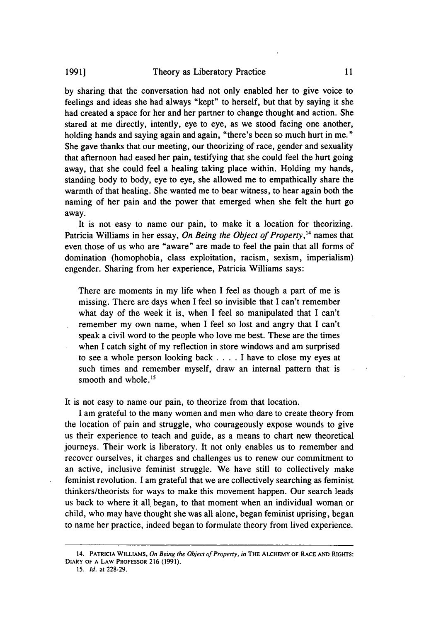by sharing that the conversation had not only enabled her to give voice to feelings and ideas she had always "kept" to herself, but that by saying it she had created a space for her and her partner to change thought and action. She stared at me directly, intently, eye to eye, as we stood facing one another, holding hands and saying again and again, "there's been so much hurt in me." She gave thanks that our meeting, our theorizing of race, gender and sexuality that afternoon had eased her pain, testifying that she could feel the hurt going away, that she could feel a healing taking place within. Holding my hands, standing body to body, eye to eye, she allowed me to empathically share the warmth of that healing. She wanted me to bear witness, to hear again both the naming of her pain and the power that emerged when she felt the hurt go away.

It is not easy to name our pain, to make it a location for theorizing. Patricia Williams in her essay, *On Being the Object of Property*,<sup>14</sup> names that even those of us who are "aware" are made to feel the pain that all forms of domination (homophobia, class exploitation, racism, sexism, imperialism) engender. Sharing from her experience, Patricia Williams says:

There are moments in my life when I feel as though a part of me is missing. There are days when I feel so invisible that I can't remember what day of the week it is, when I feel so manipulated that I can't remember my own name, when I feel so lost and angry that I can't speak a civil word to the people who love me best. These are the times when I catch sight of my reflection in store windows and am surprised to see a whole person looking back . **. .** . I have to close my eyes at such times and remember myself, draw an internal pattern that is smooth and whole.<sup>15</sup>

It is not easy to name our pain, to theorize from that location.

I am grateful to the many women and men who dare to create theory from the location of pain and struggle, who courageously expose wounds to give us their experience to teach and guide, as a means to chart new theoretical journeys. Their work is liberatory. It not only enables us to remember and recover ourselves, it charges and challenges us to renew our commitment to an active, inclusive feminist struggle. We have still to collectively make feminist revolution. I am grateful that we are collectively searching as feminist thinkers/theorists for ways to make this movement happen. Our search leads us back to where it all began, to that moment when an individual woman or child, who may have thought she was all alone, began feminist uprising, began to name her practice, indeed began to formulate theory from lived experience.

<sup>14.</sup> **PATRICIA** WILLIAMS, *On* Being the Object of Property, in **THE ALCHEMY OF RACE AND RIGHTS: DIARY OF A LAW PROFESSOR 216 (1991).**

*<sup>15.</sup> Id.* at **228-29.**